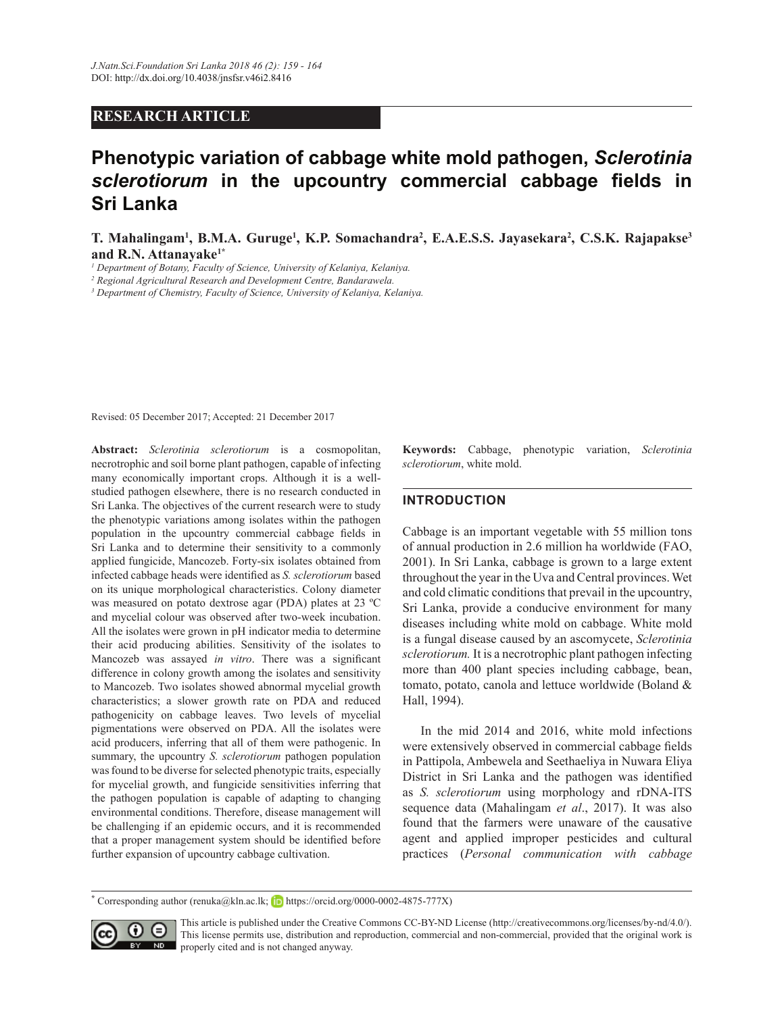## **RESEARCH ARTICLE**

# Phenotypic variation of cabbage white mold pathogen, Sclerotinia sclerotiorum in the upcountry commercial cabbage fields in Sri Lanka

T. Mahalingam<sup>1</sup>, B.M.A. Guruge<sup>1</sup>, K.P. Somachandra<sup>2</sup>, E.A.E.S.S. Jayasekara<sup>2</sup>, C.S.K. Rajapakse<sup>3</sup> and R.N. Attanayake<sup>1\*</sup>

<sup>1</sup> Department of Botany, Faculty of Science, University of Kelaniya, Kelaniya.

<sup>2</sup> Regional Agricultural Research and Development Centre, Bandarawela.

<sup>3</sup> Department of Chemistry, Faculty of Science, University of Kelaniya, Kelaniya.

Revised: 05 December 2017; Accepted: 21 December 2017

Abstract: Sclerotinia sclerotiorum is a cosmopolitan, necrotrophic and soil borne plant pathogen, capable of infecting many economically important crops. Although it is a wellstudied pathogen elsewhere, there is no research conducted in Sri Lanka. The objectives of the current research were to study the phenotypic variations among isolates within the pathogen population in the upcountry commercial cabbage fields in Sri Lanka and to determine their sensitivity to a commonly applied fungicide, Mancozeb. Forty-six isolates obtained from infected cabbage heads were identified as S. sclerotiorum based on its unique morphological characteristics. Colony diameter was measured on potato dextrose agar (PDA) plates at 23 °C and mycelial colour was observed after two-week incubation. All the isolates were grown in pH indicator media to determine their acid producing abilities. Sensitivity of the isolates to Mancozeb was assayed in vitro. There was a significant difference in colony growth among the isolates and sensitivity to Mancozeb. Two isolates showed abnormal mycelial growth characteristics; a slower growth rate on PDA and reduced pathogenicity on cabbage leaves. Two levels of mycelial pigmentations were observed on PDA. All the isolates were acid producers, inferring that all of them were pathogenic. In summary, the upcountry S. sclerotiorum pathogen population was found to be diverse for selected phenotypic traits, especially for mycelial growth, and fungicide sensitivities inferring that the pathogen population is capable of adapting to changing environmental conditions. Therefore, disease management will be challenging if an epidemic occurs, and it is recommended that a proper management system should be identified before further expansion of upcountry cabbage cultivation.

Keywords: Cabbage, phenotypic variation, Sclerotinia sclerotiorum, white mold.

## **INTRODUCTION**

Cabbage is an important vegetable with 55 million tons of annual production in 2.6 million ha worldwide (FAO, 2001). In Sri Lanka, cabbage is grown to a large extent throughout the year in the Uva and Central provinces. Wet and cold climatic conditions that prevail in the upcountry, Sri Lanka, provide a conducive environment for many diseases including white mold on cabbage. White mold is a fungal disease caused by an ascomycete, Sclerotinia sclerotiorum. It is a necrotrophic plant pathogen infecting more than 400 plant species including cabbage, bean, tomato, potato, canola and lettuce worldwide (Boland & Hall, 1994).

In the mid 2014 and 2016, white mold infections were extensively observed in commercial cabbage fields in Pattipola, Ambewela and Seethaeliya in Nuwara Eliya District in Sri Lanka and the pathogen was identified as S. sclerotiorum using morphology and rDNA-ITS sequence data (Mahalingam et al., 2017). It was also found that the farmers were unaware of the causative agent and applied improper pesticides and cultural practices (Personal communication with cabbage

Corresponding author (renuka@kln.ac.lk; b https://orcid.org/0000-0002-4875-777X)



This article is published under the Creative Commons CC-BY-ND License (http://creativecommons.org/licenses/by-nd/4.0/). This license permits use, distribution and reproduction, commercial and non-commercial, provided that the original work is **ND** properly cited and is not changed anyway.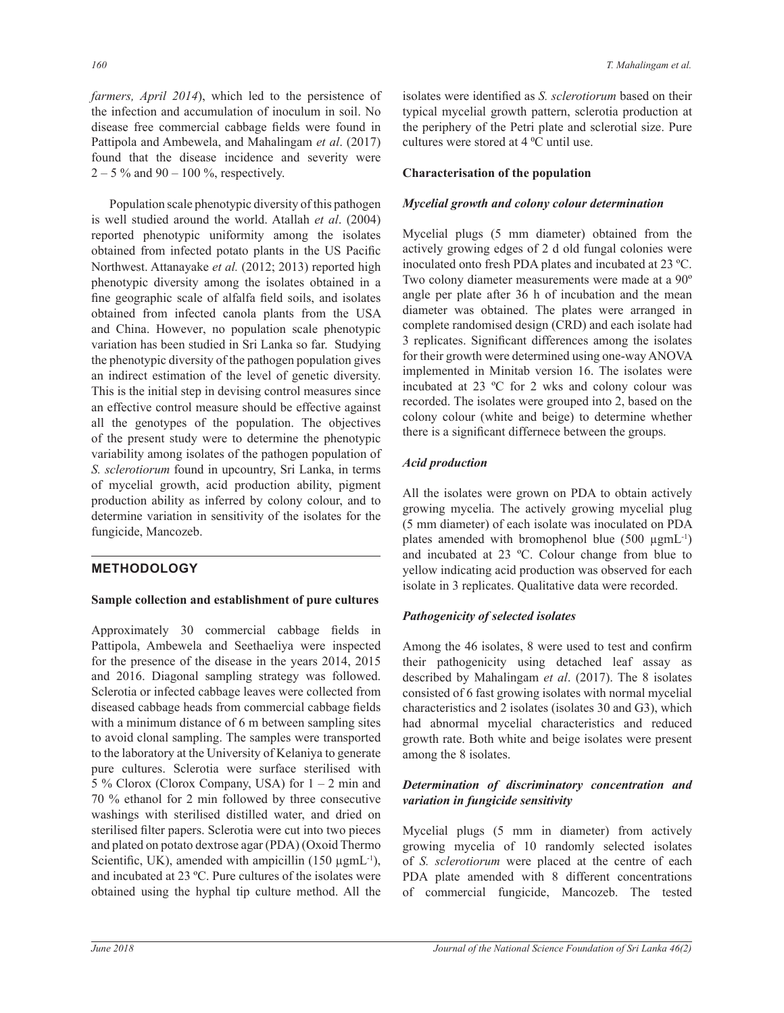*farmers, April 2014*), which led to the persistence of the infection and accumulation of inoculum in soil. No disease free commercial cabbage fields were found in Pattipola and Ambewela, and Mahalingam et al. (2017) found that the disease incidence and severity were  $2 - 5\%$  and 90 – 100 %, respectively.

Population scale phenotypic diversity of this pathogen is well studied around the world. Atallah et al. (2004) reported phenotypic uniformity among the isolates obtained from infected potato plants in the US Pacific Northwest. Attanayake et al. (2012; 2013) reported high phenotypic diversity among the isolates obtained in a fine geographic scale of alfalfa field soils, and isolates obtained from infected canola plants from the USA and China. However, no population scale phenotypic variation has been studied in Sri Lanka so far. Studying the phenotypic diversity of the pathogen population gives an indirect estimation of the level of genetic diversity. This is the initial step in devising control measures since an effective control measure should be effective against all the genotypes of the population. The objectives of the present study were to determine the phenotypic variability among isolates of the pathogen population of *S. sclerotiorum* found in upcountry, Sri Lanka, in terms of mycelial growth, acid production ability, pigment production ability as inferred by colony colour, and to determine variation in sensitivity of the isolates for the fungicide, Mancozeb.

# **METHODOLOGY**

## **Sample collection and establishment of pure cultures**

Approximately 30 commercial cabbage fields in Pattipola, Ambewela and Seethaeliya were inspected for the presence of the disease in the years  $2014$ ,  $2015$ and 2016. Diagonal sampling strategy was followed. Sclerotia or infected cabbage leaves were collected from diseased cabbage heads from commercial cabbage fields with a minimum distance of 6 m between sampling sites to avoid clonal sampling. The samples were transported to the laboratory at the University of Kelaniya to generate pure cultures. Sclerotia were surface sterilised with 5 % Clorox (Clorox Company, USA) for  $1 - 2$  min and 70 % ethanol for 2 min followed by three consecutive washings with sterilised distilled water, and dried on sterilised filter papers. Sclerotia were cut into two pieces and plated on potato dextrose agar (PDA) (Oxoid Thermo Scientific, UK), amended with ampicillin  $(150 \mu g \text{mL}^{-1})$ , and incubated at 23 °C. Pure cultures of the isolates were obtained using the hyphal tip culture method. All the

isolates were identified as *S. sclerotiorum* based on their typical mycelial growth pattern, sclerotia production at the periphery of the Petri plate and sclerotial size. Pure cultures were stored at 4 °C until use.

## **Characterisation of the population**

## *Mycelial growth and colony colour determination*

Mycelial plugs (5 mm diameter) obtained from the actively growing edges of 2 d old fungal colonies were inoculated onto fresh PDA plates and incubated at 23 °C. Two colony diameter measurements were made at a 90<sup>o</sup> angle per plate after 36 h of incubation and the mean diameter was obtained. The plates were arranged in complete randomised design (CRD) and each isolate had 3 replicates. Significant differences among the isolates for their growth were determined using one-way ANOVA implemented in Minitab version 16. The isolates were incubated at 23  $\degree$ C for 2 wks and colony colour was recorded. The isolates were grouped into 2, based on the colony colour (white and beige) to determine whether there is a significant differnece between the groups.

## *Acid production*

All the isolates were grown on PDA to obtain actively growing mycelia. The actively growing mycelial plug (5 mm diameter) of each isolate was inoculated on PDA plates amended with bromophenol blue  $(500 \mu g m L^{-1})$ and incubated at 23 °C. Colour change from blue to  $y$ ellow indicating acid production was observed for each isolate in 3 replicates. Qualitative data were recorded.

## *Pathogenicity of selected isolates*

Among the 46 isolates, 8 were used to test and confirm their pathogenicity using detached leaf assay as described by Mahalingam *et al.* (2017). The 8 isolates consisted of 6 fast growing isolates with normal mycelial characteristics and 2 isolates (isolates 30 and G3), which had abnormal mycelial characteristics and reduced growth rate. Both white and beige isolates were present among the 8 isolates.

## *Determination of discriminatory concentration and variation in fungicide sensitivity*

Mycelial plugs (5 mm in diameter) from actively growing mycelia of 10 randomly selected isolates of *S. sclerotiorum* were placed at the centre of each PDA plate amended with 8 different concentrations of commercial fungicide, Mancozeb. The tested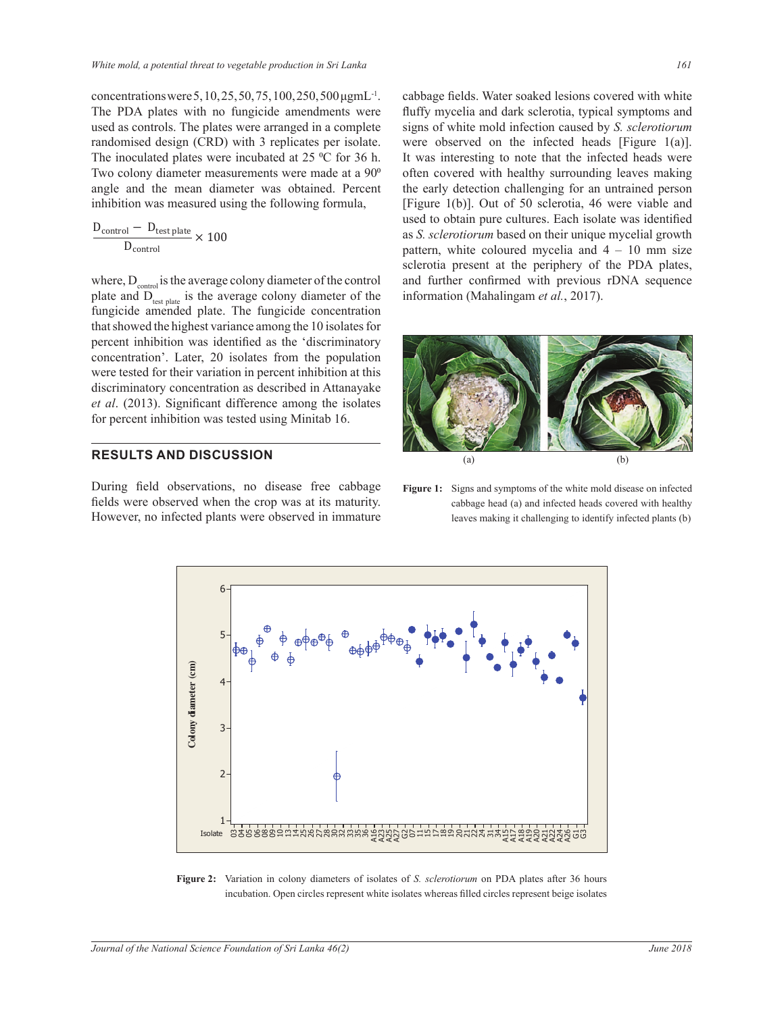concentrations were 5, 10, 25, 50, 75, 100, 250, 500 μgmL<sup>-1</sup>. The PDA plates with no fungicide amendments were used as controls. The plates were arranged in a complete randomised design (CRD) with 3 replicates per isolate.

The inoculated plates were incubated at 25  $\degree$ C for 36 h. Two colony diameter measurements were made at a 90<sup>o</sup> angle and the mean diameter was obtained. Percent inhibition was measured using the following formula,

$$
\frac{D_{\text{control}} - D_{\text{test plate}}}{D_{\text{control}}} \times 100
$$

where,  $D_{control}$  is the average colony diameter of the control plate and D<sub>test plate</sub> is the average colony diameter of the fungicide amended plate. The fungicide concentration that showed the highest variance among the 10 isolates for percent inhibition was identified as the 'discriminatory concentration'. Later, 20 isolates from the population were tested for their variation in percent inhibition at this discriminatory concentration as described in Attanayake et al. (2013). Significant difference among the isolates for percent inhibition was tested using Minitab 16.

#### **RESULTS AND DISCUSSION**

During field observations, no disease free cabbage fields were observed when the crop was at its maturity. However, no infected plants were observed in immature cabbage fields. Water soaked lesions covered with white fluffy mycelia and dark sclerotia, typical symptoms and signs of white mold infection caused by S. sclerotiorum were observed on the infected heads [Figure  $1(a)$ ]. It was interesting to note that the infected heads were often covered with healthy surrounding leaves making the early detection challenging for an untrained person [Figure 1(b)]. Out of 50 sclerotia, 46 were viable and used to obtain pure cultures. Each isolate was identified as S. sclerotiorum based on their unique mycelial growth pattern, white coloured mycelia and  $4 - 10$  mm size sclerotia present at the periphery of the PDA plates, and further confirmed with previous rDNA sequence information (Mahalingam et al., 2017).



Figure 1: Signs and symptoms of the white mold disease on infected cabbage head (a) and infected heads covered with healthy leaves making it challenging to identify infected plants (b)



Figure 2: Variation in colony diameters of isolates of S. sclerotiorum on PDA plates after 36 hours incubation. Open circles represent white isolates whereas filled circles represent beige isolates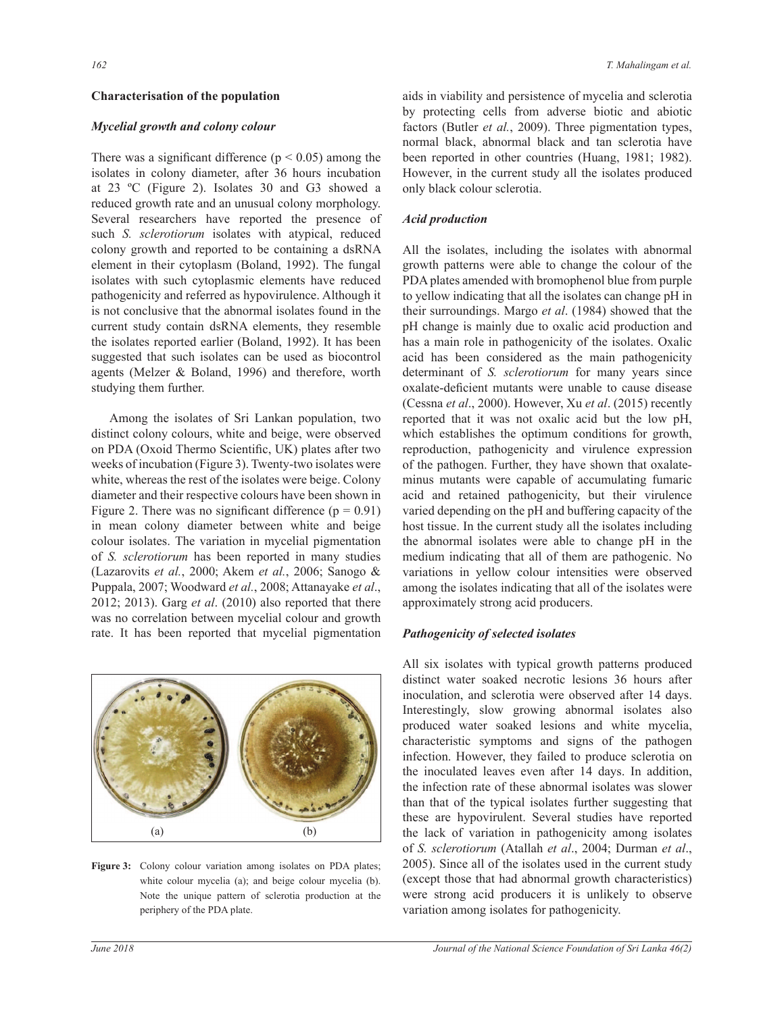#### **Characterisation of the population**

#### *Mycelial growth and colony colour*

There was a significant difference ( $p < 0.05$ ) among the isolates in colony diameter, after 36 hours incubation at 23  $^{\circ}$ C (Figure 2). Isolates 30 and G3 showed a reduced growth rate and an unusual colony morphology. Several researchers have reported the presence of such *S. sclerotiorum* isolates with atypical, reduced colony growth and reported to be containing a dsRNA element in their cytoplasm (Boland, 1992). The fungal isolates with such cytoplasmic elements have reduced pathogenicity and referred as hypovirulence. Although it is not conclusive that the abnormal isolates found in the current study contain dsRNA elements, they resemble the isolates reported earlier (Boland, 1992). It has been suggested that such isolates can be used as biocontrol agents (Melzer & Boland, 1996) and therefore, worth studying them further.

Among the isolates of Sri Lankan population, two GLUTTEN GLUTTEN COLORES CONTROLLING THE COLORES CONTROLLED FOR DESCRIPCION OF A CHARGE SERVICE AND REVIEW OF THE CONTROL OF THE CONTROL OF THE CONTROL OF THE CONTROL OF THE CONTROL OF THE CONTROL OF THE CONTROL OF THE CONT on PDA (Oxoid Thermo Scientific, UK) plates after two weeks of incubation (Figure 3). Twenty-two isolates were white, whereas the rest of the isolates were beige. Colony diameter and their respective colours have been shown in Figure 2. There was no significant difference  $(p = 0.91)$ in mean colony diameter between white and beige colour isolates. The variation in mycelial pigmentation of *S. sclerotiorum* has been reported in many studies (Lazarovits *et al.*, 2000; Akem *et al.*, 2006; Sanogo & Puppala, 2007; Woodward et al., 2008; Attanayake et al.,  $2012$ ;  $2013$ ). Garg et al.  $(2010)$  also reported that there was no correlation between mycelial colour and growth rate. It has been reported that mycelial pigmentation



Figure 3: Colony colour variation among isolates on PDA plates; white colour mycelia (a); and beige colour mycelia (b). Note the unique pattern of sclerotia production at the periphery of the PDA plate.

aids in viability and persistence of mycelia and sclerotia by protecting cells from adverse biotic and abiotic factors (Butler et al., 2009). Three pigmentation types, normal black, abnormal black and tan sclerotia have been reported in other countries (Huang, 1981; 1982). However, in the current study all the isolates produced only black colour sclerotia.

#### *Acid production*

All the isolates, including the isolates with abnormal growth patterns were able to change the colour of the PDA plates amended with bromophenol blue from purple to yellow indicating that all the isolates can change pH in their surroundings. Margo et al. (1984) showed that the pH change is mainly due to oxalic acid production and has a main role in pathogenicity of the isolates. Oxalic acid has been considered as the main pathogenicity determinant of *S. sclerotiorum* for many years since oxalate-deficient mutants were unable to cause disease (Cessna et al., 2000). However, Xu et al. (2015) recently reported that it was not oxalic acid but the low pH, which establishes the optimum conditions for growth, reproduction, pathogenicity and virulence expression of the pathogen. Further, they have shown that oxalateminus mutants were capable of accumulating fumaric acid and retained pathogenicity, but their virulence varied depending on the pH and buffering capacity of the host tissue. In the current study all the isolates including the abnormal isolates were able to change pH in the medium indicating that all of them are pathogenic. No variations in yellow colour intensities were observed among the isolates indicating that all of the isolates were approximately strong acid producers.

#### *Pathogenicity of selected isolates*

All six isolates with typical growth patterns produced distinct water soaked necrotic lesions 36 hours after inoculation, and sclerotia were observed after 14 days. Interestingly, slow growing abnormal isolates also produced water soaked lesions and white mycelia, characteristic symptoms and signs of the pathogen infection. However, they failed to produce sclerotia on the inoculated leaves even after 14 days. In addition, the infection rate of these abnormal isolates was slower than that of the typical isolates further suggesting that these are hypovirulent. Several studies have reported the lack of variation in pathogenicity among isolates of *S. sclerotiorum* (Atallah *et al*., 2004; Durman *et al*., 2005). Since all of the isolates used in the current study (except those that had abnormal growth characteristics) were strong acid producers it is unlikely to observe variation among isolates for pathogenicity.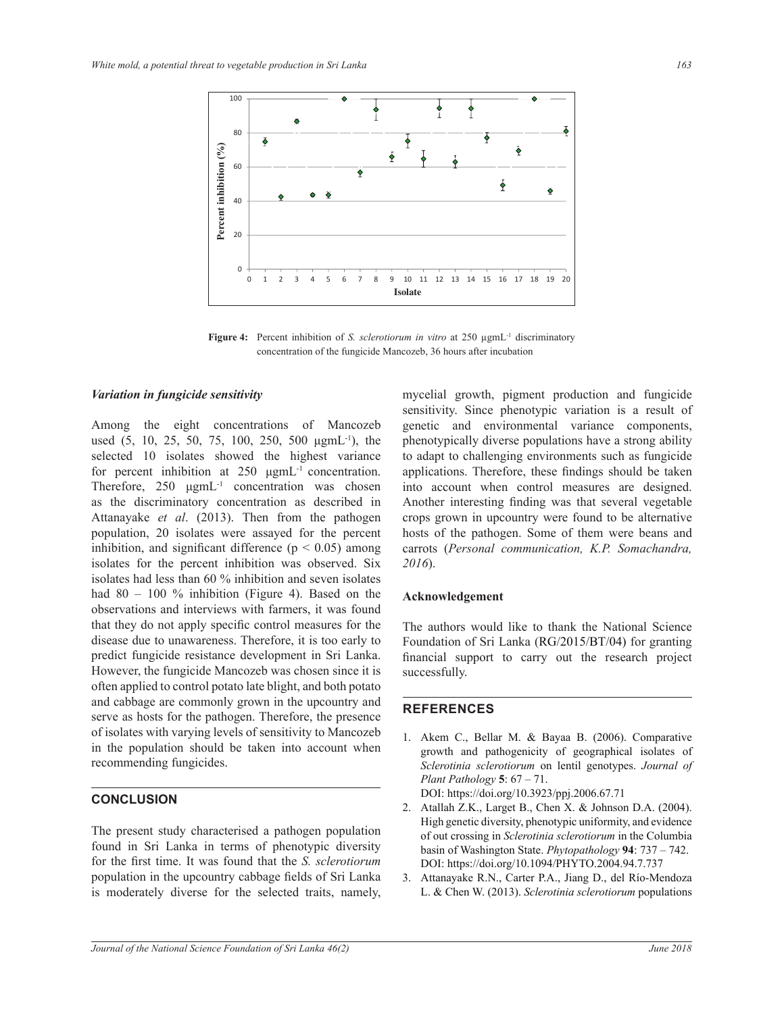

Figure 4: Percent inhibition of *S. sclerotiorum in vitro* at 250 µgmL<sup>-1</sup> discriminatory concentration of the fungicide Mancozeb, 36 hours after incubation

#### *Variation in fungicide sensitivity*

Among the eight concentrations of Mancozeb used  $(5, 10, 25, 50, 75, 100, 250, 500 \mu g m L^{-1})$ , the selected 10 isolates showed the highest variance for percent inhibition at  $250 \mu g m L^{-1}$  concentration. Therefore,  $250 \ \mu g m L$ <sup>-1</sup> concentration was chosen as the discriminatory concentration as described in Attanayake *et al*. (2013). Then from the pathogen population, 20 isolates were assayed for the percent inhibition, and significant difference ( $p < 0.05$ ) among isolates for the percent inhibition was observed. Six isolates had less than 60 % inhibition and seven isolates had  $80 - 100$  % inhibition (Figure 4). Based on the observations and interviews with farmers, it was found that they do not apply specific control measures for the disease due to unawareness. Therefore, it is too early to predict fungicide resistance development in Sri Lanka. However, the fungicide Mancozeb was chosen since it is often applied to control potato late blight, and both potato and cabbage are commonly grown in the upcountry and serve as hosts for the pathogen. Therefore, the presence of isolates with varying levels of sensitivity to Mancozeb in the population should be taken into account when recommending fungicides.

## **CONCLUSION**

The present study characterised a pathogen population found in Sri Lanka in terms of phenotypic diversity for the first time. It was found that the *S. sclerotiorum* population in the upcountry cabbage fields of Sri Lanka is moderately diverse for the selected traits, namely, mycelial growth, pigment production and fungicide sensitivity. Since phenotypic variation is a result of genetic and environmental variance components, phenotypically diverse populations have a strong ability to adapt to challenging environments such as fungicide applications. Therefore, these findings should be taken into account when control measures are designed. Another interesting finding was that several vegetable crops grown in upcountry were found to be alternative hosts of the pathogen. Some of them were beans and carrots (*Personal communication, K.P. Somachandra, 2016*).

## **Acknowledgement**

The authors would like to thank the National Science Foundation of Sri Lanka  $(RG/2015/BT/04)$  for granting financial support to carry out the research project successfully.

#### **REFERENCES**

- 1. Akem C., Bellar M. & Bayaa B. (2006). Comparative growth and pathogenicity of geographical isolates of *Sclerotinia sclerotiorum* on lentil genotypes. *Journal of Plant Pathology*  $5: 67 - 71$ . DOI: https://doi.org/10.3923/ppj.2006.67.71
- 2. Atallah Z.K., Larget B., Chen X. & Johnson D.A. (2004). High genetic diversity, phenotypic uniformity, and evidence of out crossing in *Sclerotinia sclerotiorum* in the Columbia basin of Washington State. *Phytopathology* 94: 737 - 742. DOI: https://doi.org/10.1094/PHYTO.2004.94.7.737
- 3. Attanayake R.N., Carter P.A., Jiang D., del Río-Mendoza L. & Chen W. (2013). Sclerotinia sclerotiorum populations